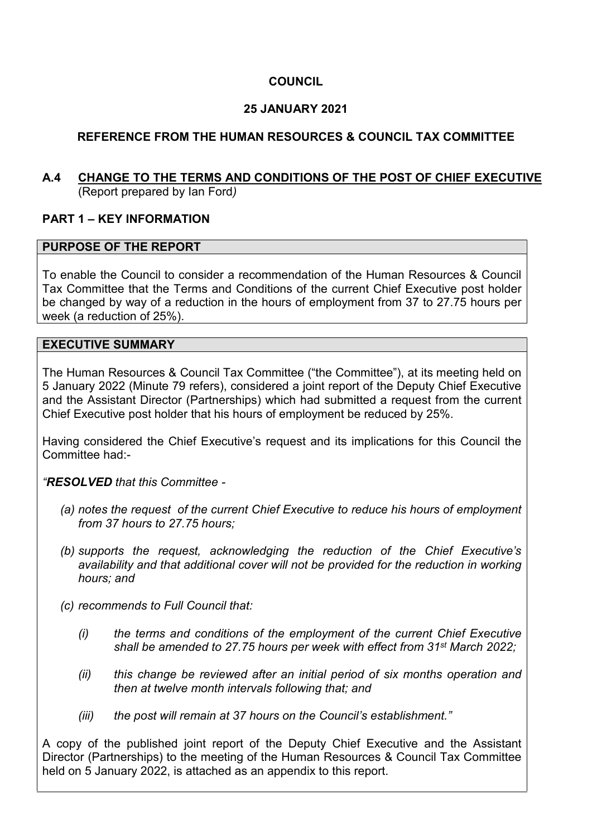# **COUNCIL**

# **25 JANUARY 2021**

# **REFERENCE FROM THE HUMAN RESOURCES & COUNCIL TAX COMMITTEE**

## **A.4 CHANGE TO THE TERMS AND CONDITIONS OF THE POST OF CHIEF EXECUTIVE**  (Report prepared by Ian Ford*)*

# **PART 1 – KEY INFORMATION**

## **PURPOSE OF THE REPORT**

To enable the Council to consider a recommendation of the Human Resources & Council Tax Committee that the Terms and Conditions of the current Chief Executive post holder be changed by way of a reduction in the hours of employment from 37 to 27.75 hours per week (a reduction of 25%).

## **EXECUTIVE SUMMARY**

The Human Resources & Council Tax Committee ("the Committee"), at its meeting held on 5 January 2022 (Minute 79 refers), considered a joint report of the Deputy Chief Executive and the Assistant Director (Partnerships) which had submitted a request from the current Chief Executive post holder that his hours of employment be reduced by 25%.

Having considered the Chief Executive's request and its implications for this Council the Committee had:-

## *"RESOLVED that this Committee -*

- *(a) notes the request of the current Chief Executive to reduce his hours of employment from 37 hours to 27.75 hours;*
- *(b) supports the request, acknowledging the reduction of the Chief Executive's availability and that additional cover will not be provided for the reduction in working hours; and*
- *(c) recommends to Full Council that:* 
	- *(i) the terms and conditions of the employment of the current Chief Executive shall be amended to 27.75 hours per week with effect from 31st March 2022;*
	- *(ii) this change be reviewed after an initial period of six months operation and then at twelve month intervals following that; and*
	- *(iii) the post will remain at 37 hours on the Council's establishment."*

A copy of the published joint report of the Deputy Chief Executive and the Assistant Director (Partnerships) to the meeting of the Human Resources & Council Tax Committee held on 5 January 2022, is attached as an appendix to this report.